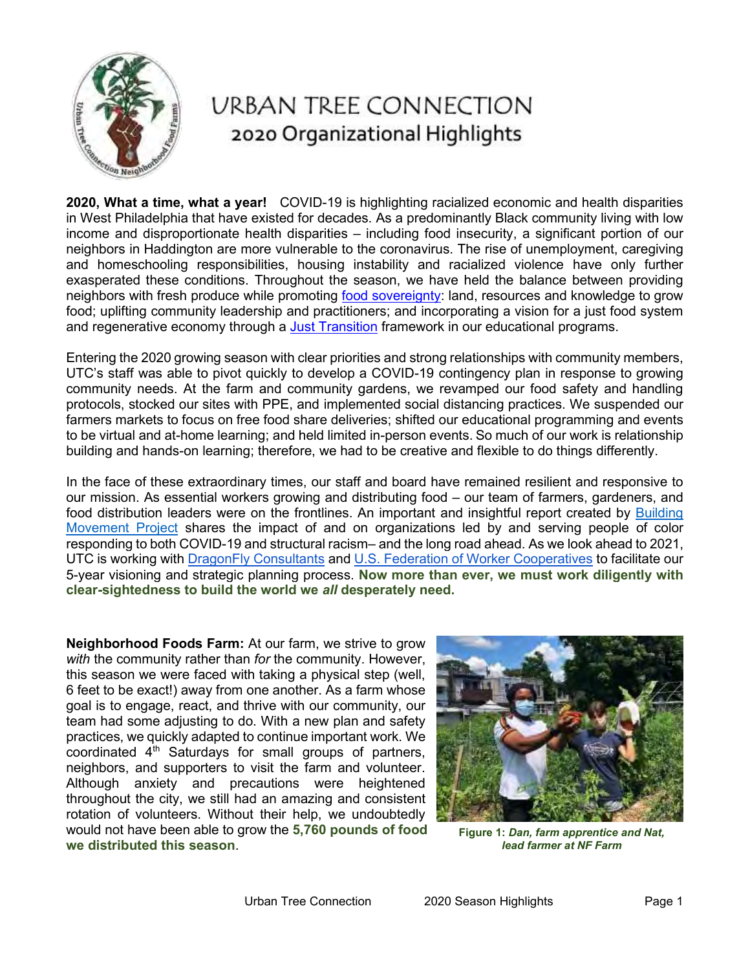

## **URBAN TREE CONNECTION** 2020 Organizational Highlights

**2020, What a time, what a year!** COVID-19 is highlighting racialized economic and health disparities in West Philadelphia that have existed for decades. As a predominantly Black community living with low income and disproportionate health disparities – including food insecurity, a significant portion of our neighbors in Haddington are more vulnerable to the coronavirus. The rise of unemployment, caregiving and homeschooling responsibilities, housing instability and racialized violence have only further exasperated these conditions. Throughout the season, we have held the balance between providing neighbors with fresh produce while promoting [food sovereignty:](http://usfoodsovereigntyalliance.org/what-is-food-sovereignty/) land, resources and knowledge to grow food; uplifting community leadership and practitioners; and incorporating a vision for a just food system and regenerative economy through a [Just Transition](https://climatejusticealliance.org/just-transition/) framework in our educational programs.

Entering the 2020 growing season with clear priorities and strong relationships with community members, UTC's staff was able to pivot quickly to develop a COVID-19 contingency plan in response to growing community needs. At the farm and community gardens, we revamped our food safety and handling protocols, stocked our sites with PPE, and implemented social distancing practices. We suspended our farmers markets to focus on free food share deliveries; shifted our educational programming and events to be virtual and at-home learning; and held limited in-person events. So much of our work is relationship building and hands-on learning; therefore, we had to be creative and flexible to do things differently.

In the face of these extraordinary times, our staff and board have remained resilient and responsive to our mission. As essential workers growing and distributing food – our team of farmers, gardeners, and food distribution leaders were on the frontlines. An important and insightful report created by [Building](https://buildingmovement.org/wp-content/uploads/2020/10/On-the-Frontlines-COVID-Leaders-of-Color-Final-10.2.20.pdf)  [Movement Project](https://buildingmovement.org/wp-content/uploads/2020/10/On-the-Frontlines-COVID-Leaders-of-Color-Final-10.2.20.pdf) shares the impact of and on organizations led by and serving people of color responding to both COVID-19 and structural racism– and the long road ahead. As we look ahead to 2021, UTC is working with [DragonFly Consultants](http://www.dragonfly-partners.com/index/about) and [U.S. Federation of Worker Cooperatives](https://www.usworker.coop/home/) to facilitate our 5-year visioning and strategic planning process. **Now more than ever, we must work diligently with clear-sightedness to build the world we** *all* **desperately need.**

**Neighborhood Foods Farm:** At our farm, we strive to grow *with* the community rather than *for* the community. However, this season we were faced with taking a physical step (well, 6 feet to be exact!) away from one another. As a farm whose goal is to engage, react, and thrive with our community, our team had some adjusting to do. With a new plan and safety practices, we quickly adapted to continue important work. We coordinated  $4<sup>th</sup>$  Saturdays for small groups of partners, neighbors, and supporters to visit the farm and volunteer. Although anxiety and precautions were heightened throughout the city, we still had an amazing and consistent rotation of volunteers. Without their help, we undoubtedly would not have been able to grow the **5,760 pounds of food we distributed this season**.



**Figure 1:** *Dan, farm apprentice and Nat, lead farmer at NF Farm*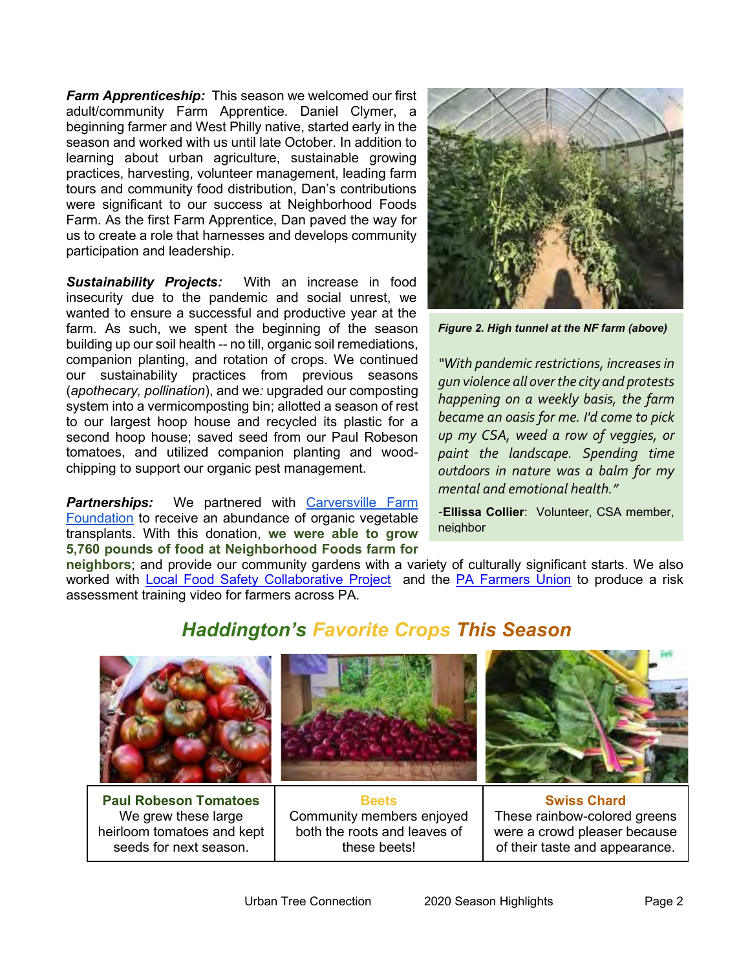*Farm Apprenticeship:* This season we welcomed our first adult/community Farm Apprentice. Daniel Clymer, a beginning farmer and West Philly native, started early in the season and worked with us until late October. In addition to learning about urban agriculture, sustainable growing practices, harvesting, volunteer management, leading farm tours and community food distribution, Dan's contributions were significant to our success at Neighborhood Foods Farm. As the first Farm Apprentice, Dan paved the way for us to create a role that harnesses and develops community participation and leadership.

*Sustainability Projects:* With an increase in food insecurity due to the pandemic and social unrest, we wanted to ensure a successful and productive year at the farm. As such, we spent the beginning of the season building up our soil health -- no till, organic soil remediations, companion planting, and rotation of crops. We continued our sustainability practices from previous seasons (*apothecary, pollination*), and we*:* upgraded our composting system into a vermicomposting bin; allotted a season of rest to our largest hoop house and recycled its plastic for a second hoop house; saved seed from our Paul Robeson tomatoes, and utilized companion planting and woodchipping to support our organic pest management.

**Partnerships:** We partnered with [Carversville](http://www.carversvillefarm.org/) Farm [Foundation](http://www.carversvillefarm.org/) to receive an abundance of organic vegetable transplants. With this donation, **we were able to grow 5,760 pounds of food at Neighborhood Foods farm for** 



*Figure 2. High tunnel at the NF farm (above)*

*"With pandemic restrictions, increases in gun violence all over the city and protests happening on a weekly basis, the farm became an oasis for me. I'd come to pick up my CSA, weed a row of veggies, or paint the landscape. Spending time outdoors in nature was a balm for my mental and emotional health."*

-**Ellissa Collier**: Volunteer, CSA member, neighbor

**neighbors**; and provide our community gardens with a variety of culturally significant starts. We also worked with [Local Food Safety Collaborative Project](https://localfoodsafety.org/about-lfsc/) and the [PA Farmers Union](https://pafarmersunion.org/) to produce a risk assessment training video for farmers across PA.

## *Haddington's Favorite Crops This Season*



**Paul Robeson Tomatoes** We grew these large heirloom tomatoes and kept seeds for next season.

**Beets** Community members enjoyed both the roots and leaves of these beets!

**Swiss Chard** These rainbow-colored greens were a crowd pleaser because of their taste and appearance.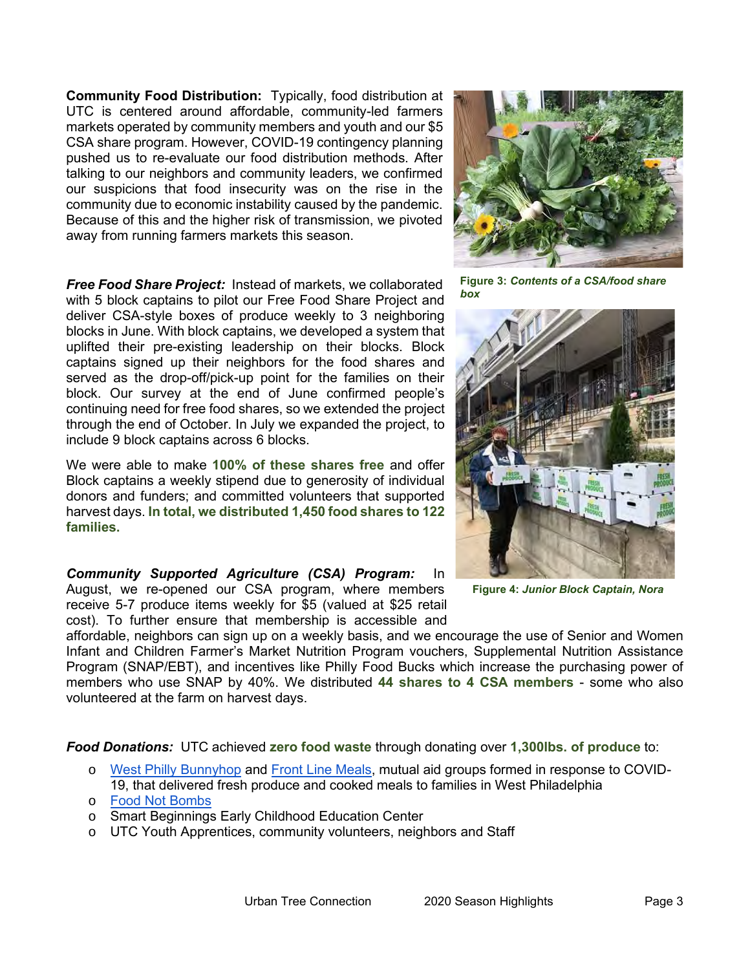**Community Food Distribution:** Typically, food distribution at UTC is centered around affordable, community-led farmers markets operated by community members and youth and our \$5 CSA share program. However, COVID-19 contingency planning pushed us to re-evaluate our food distribution methods. After talking to our neighbors and community leaders, we confirmed our suspicions that food insecurity was on the rise in the community due to economic instability caused by the pandemic. Because of this and the higher risk of transmission, we pivoted away from running farmers markets this season.

*Free Food Share Project:* Instead of markets, we collaborated with 5 block captains to pilot our Free Food Share Project and deliver CSA-style boxes of produce weekly to 3 neighboring blocks in June. With block captains, we developed a system that uplifted their pre-existing leadership on their blocks. Block captains signed up their neighbors for the food shares and served as the drop-off/pick-up point for the families on their block. Our survey at the end of June confirmed people's continuing need for free food shares, so we extended the project through the end of October. In July we expanded the project, to include 9 block captains across 6 blocks.

We were able to make **100% of these shares free** and offer Block captains a weekly stipend due to generosity of individual donors and funders; and committed volunteers that supported harvest days. **In total, we distributed 1,450 food shares to 122 families.** 

*Community Supported Agriculture (CSA) Program:* In August, we re-opened our CSA program, where members receive 5-7 produce items weekly for \$5 (valued at \$25 retail cost). To further ensure that membership is accessible and



**Figure 3:** *Contents of a CSA/food share box*



**Figure 4:** *Junior Block Captain, Nora*

affordable, neighbors can sign up on a weekly basis, and we encourage the use of Senior and Women Infant and Children Farmer's Market Nutrition Program vouchers, Supplemental Nutrition Assistance Program (SNAP/EBT), and incentives like Philly Food Bucks which increase the purchasing power of members who use SNAP by 40%. We distributed **44 shares to 4 CSA members** - some who also volunteered at the farm on harvest days.

*Food Donations:* UTC achieved **zero food waste** through donating over **1,300lbs. of produce** to:

- o [West Philly Bunnyhop](https://www.bunnyhopphl.com/) and [Front Line Meals,](https://www.instagram.com/front_line_meals/) mutual aid groups formed in response to COVID-19, that delivered fresh produce and cooked meals to families in West Philadelphia
- o [Food Not Bombs](https://foodnotbombs.net/new_site/map/pennsylvania.html)
- o Smart Beginnings Early Childhood Education Center
- o UTC Youth Apprentices, community volunteers, neighbors and Staff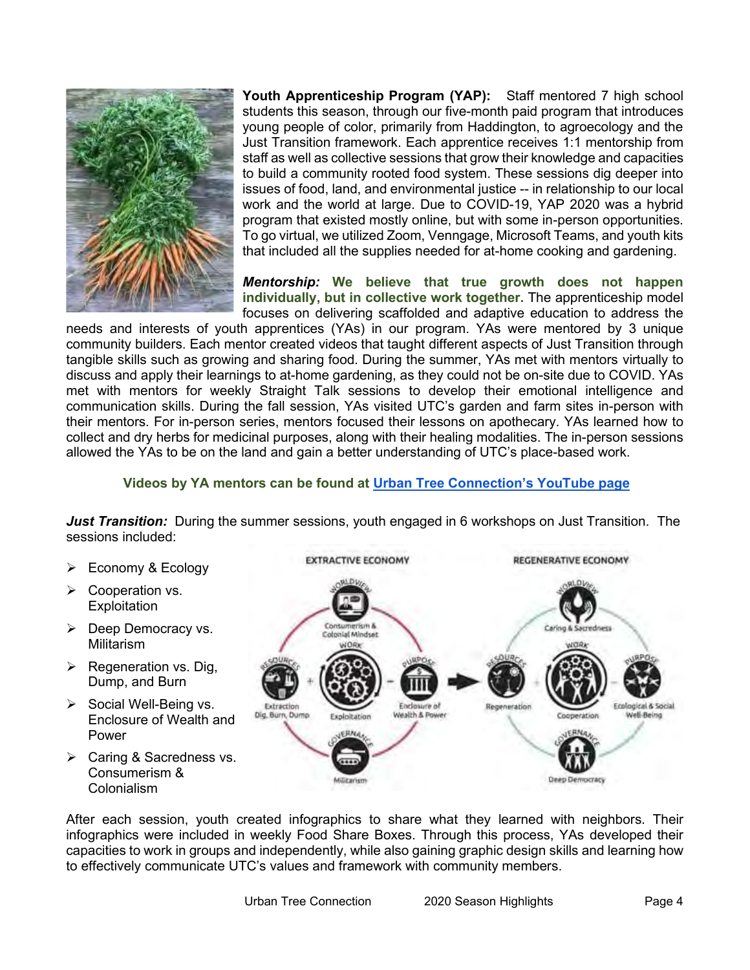

**Youth Apprenticeship Program (YAP):** Staff mentored 7 high school students this season, through our five-month paid program that introduces young people of color, primarily from Haddington, to agroecology and the Just Transition framework. Each apprentice receives 1:1 mentorship from staff as well as collective sessions that grow their knowledge and capacities to build a community rooted food system. These sessions dig deeper into issues of food, land, and environmental justice -- in relationship to our local work and the world at large. Due to COVID-19, YAP 2020 was a hybrid program that existed mostly online, but with some in-person opportunities. To go virtual, we utilized Zoom, Venngage, Microsoft Teams, and youth kits that included all the supplies needed for at-home cooking and gardening.

*Mentorship:* **We believe that true growth does not happen individually, but in collective work together.** The apprenticeship model focuses on delivering scaffolded and adaptive education to address the

needs and interests of youth apprentices (YAs) in our program. YAs were mentored by 3 unique community builders. Each mentor created videos that taught different aspects of Just Transition through tangible skills such as growing and sharing food. During the summer, YAs met with mentors virtually to discuss and apply their learnings to at-home gardening, as they could not be on-site due to COVID. YAs met with mentors for weekly Straight Talk sessions to develop their emotional intelligence and communication skills. During the fall session, YAs visited UTC's garden and farm sites in-person with their mentors. For in-person series, mentors focused their lessons on apothecary. YAs learned how to collect and dry herbs for medicinal purposes, along with their healing modalities. The in-person sessions allowed the YAs to be on the land and gain a better understanding of UTC's place-based work.

## **Videos by YA mentors can be found at [Urban Tree Connection's YouTube page](https://www.youtube.com/user/UrbanTreeConnection)**

*Just Transition:* During the summer sessions, youth engaged in 6 workshops on Just Transition. The sessions included:

- ➢ Economy & Ecology
- ➢ Cooperation vs. **Exploitation**
- ➢ Deep Democracy vs. **Militarism**
- $\triangleright$  Regeneration vs. Dig, Dump, and Burn
- ➢ Social Well-Being vs. Enclosure of Wealth and Power
- ➢ Caring & Sacredness vs. Consumerism & Colonialism



After each session, youth created infographics to share what they learned with neighbors. Their infographics were included in weekly Food Share Boxes. Through this process, YAs developed their capacities to work in groups and independently, while also gaining graphic design skills and learning how to effectively communicate UTC's values and framework with community members.

Urban Tree Connection 2020 Season Highlights Page 4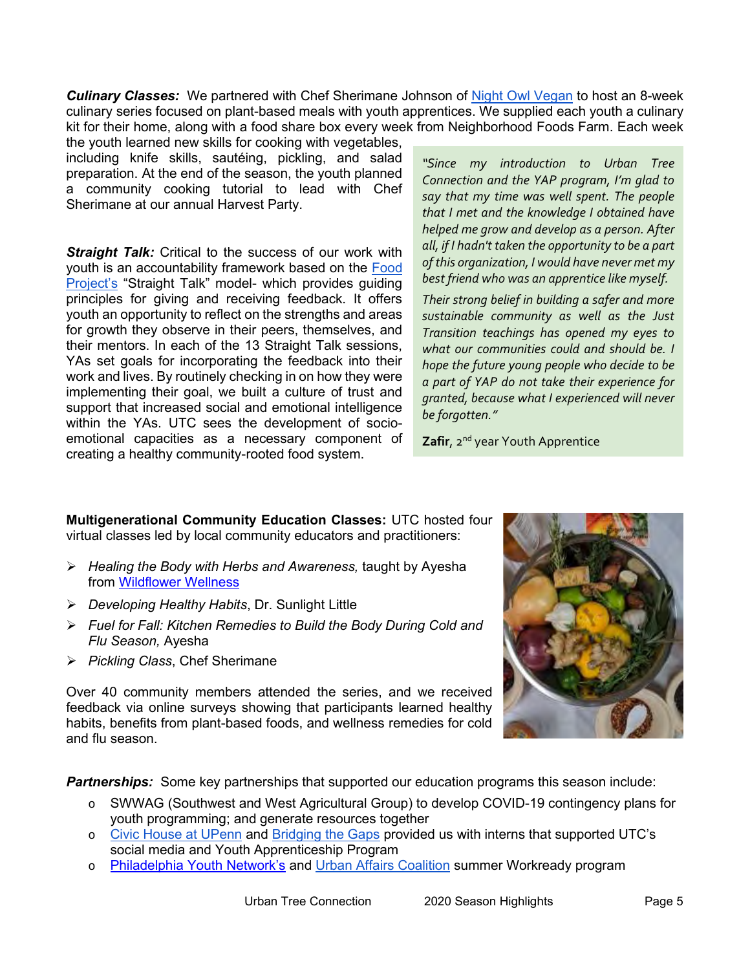*Culinary Classes:* We partnered with Chef Sherimane Johnson of Night [Owl Vegan](https://nightowlvegan.com/) to host an 8-week culinary series focused on plant-based meals with youth apprentices. We supplied each youth a culinary kit for their home, along with a food share box every week from Neighborhood Foods Farm. Each week

the youth learned new skills for cooking with vegetables, including knife skills, sautéing, pickling, and salad preparation. At the end of the season, the youth planned a community cooking tutorial to lead with Chef Sherimane at our annual Harvest Party.

**Straight Talk:** Critical to the success of our work with youth is an accountability framework based on the [Food](https://www.thefoodproject.org/)  [Project's](https://www.thefoodproject.org/) "Straight Talk" model- which provides guiding principles for giving and receiving feedback. It offers youth an opportunity to reflect on the strengths and areas for growth they observe in their peers, themselves, and their mentors. In each of the 13 Straight Talk sessions, YAs set goals for incorporating the feedback into their work and lives. By routinely checking in on how they were implementing their goal, we built a culture of trust and support that increased social and emotional intelligence within the YAs. UTC sees the development of socioemotional capacities as a necessary component of creating a healthy community-rooted food system.

*"Since my introduction to Urban Tree Connection and the YAP program, I'm glad to say that my time was well spent. The people that I met and the knowledge I obtained have helped me grow and develop as a person. After all, if I hadn't taken the opportunity to be a part of this organization, I would have never met my best friend who was an apprentice like myself.* 

*Their strong belief in building a safer and more sustainable community as well as the Just Transition teachings has opened my eyes to what our communities could and should be. I hope the future young people who decide to be a part of YAP do not take their experience for granted, because what I experienced will never be forgotten."*

**Zafir,** 2<sup>nd</sup> year Youth Apprentice

**Multigenerational Community Education Classes:** UTC hosted four virtual classes led by local community educators and practitioners:

- ➢ *Healing the Body with Herbs and Awareness,* taught by Ayesha from [Wildflower Wellness](https://www.wildflowerwellness.center/)
- ➢ *Developing Healthy Habits*, Dr. Sunlight Little
- ➢ *Fuel for Fall: Kitchen Remedies to Build the Body During Cold and Flu Season,* Ayesha
- ➢ *Pickling Class*, Chef Sherimane

Over 40 community members attended the series, and we received feedback via online surveys showing that participants learned healthy habits, benefits from plant-based foods, and wellness remedies for cold and flu season.

**Partnerships:** Some key partnerships that supported our education programs this season include:

- o SWWAG (Southwest and West Agricultural Group) to develop COVID-19 contingency plans for youth programming; and generate resources together
- o [Civic House at UPenn](https://www.vpul.upenn.edu/civichouse/) and [Bridging the Gaps](https://www.bridgingthegaps.info/) provided us with interns that supported UTC's social media and Youth Apprenticeship Program
- o [Philadelphia Youth Network's](https://www.pyninc.org/) and [Urban Affairs Coalition](http://www.uac.org/) summer Workready program

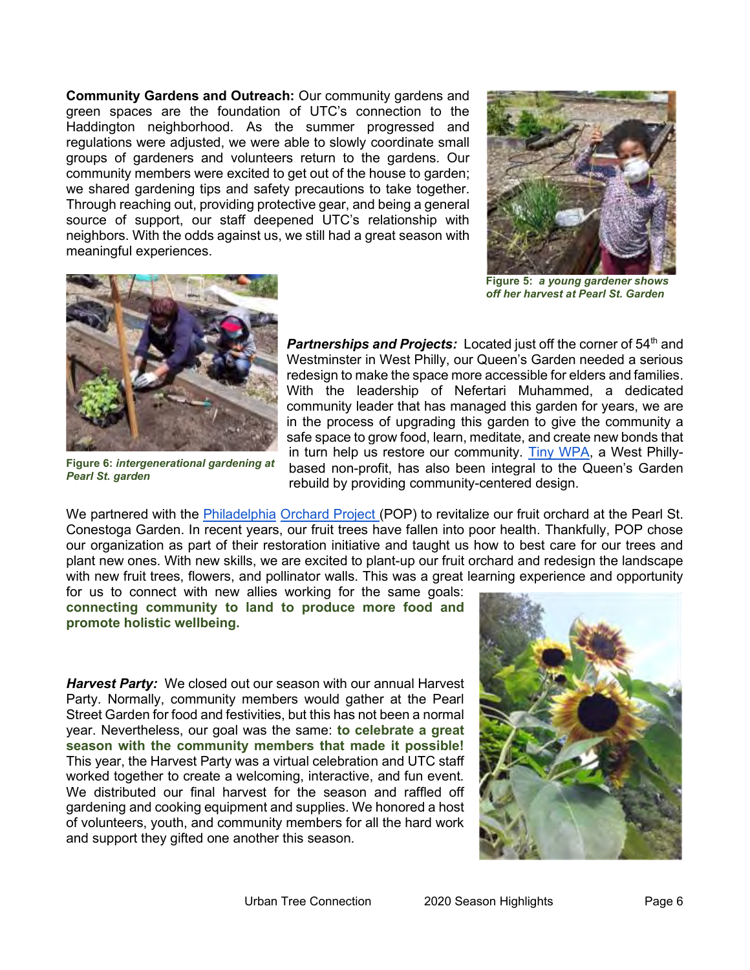**Community Gardens and Outreach:** Our community gardens and green spaces are the foundation of UTC's connection to the Haddington neighborhood. As the summer progressed and regulations were adjusted, we were able to slowly coordinate small groups of gardeners and volunteers return to the gardens. Our community members were excited to get out of the house to garden; we shared gardening tips and safety precautions to take together. Through reaching out, providing protective gear, and being a general source of support, our staff deepened UTC's relationship with neighbors. With the odds against us, we still had a great season with meaningful experiences.



**Figure 5:** *a young gardener shows off her harvest at Pearl St. Garden*



**Figure 6:** *intergenerational gardening at Pearl St. garden*

Partnerships and Projects: Located just off the corner of 54<sup>th</sup> and Westminster in West Philly, our Queen's Garden needed a serious redesign to make the space more accessible for elders and families. With the leadership of Nefertari Muhammed, a dedicated community leader that has managed this garden for years, we are in the process of upgrading this garden to give the community a safe space to grow food, learn, meditate, and create new bonds that in turn help us restore our community. [Tiny WPA,](http://www.tinywpa.org/) a West Phillybased non-profit, has also been integral to the Queen's Garden rebuild by providing community-centered design.

We partnered with the [Philadelphia](https://www.phillyorchards.org/) [Orchard Project \(](https://www.phillyorchards.org/)POP) to revitalize our fruit orchard at the Pearl St. Conestoga Garden. In recent years, our fruit trees have fallen into poor health. Thankfully, POP chose our organization as part of their restoration initiative and taught us how to best care for our trees and plant new ones. With new skills, we are excited to plant-up our fruit orchard and redesign the landscape with new fruit trees, flowers, and pollinator walls. This was a great learning experience and opportunity

for us to connect with new allies working for the same goals: **connecting community to land to produce more food and promote holistic wellbeing.**

*Harvest Party:* We closed out our season with our annual Harvest Party. Normally, community members would gather at the Pearl Street Garden for food and festivities, but this has not been a normal year. Nevertheless, our goal was the same: **to celebrate a great season with the community members that made it possible!**  This year, the Harvest Party was a virtual celebration and UTC staff worked together to create a welcoming, interactive, and fun event. We distributed our final harvest for the season and raffled off gardening and cooking equipment and supplies. We honored a host of volunteers, youth, and community members for all the hard work and support they gifted one another this season.

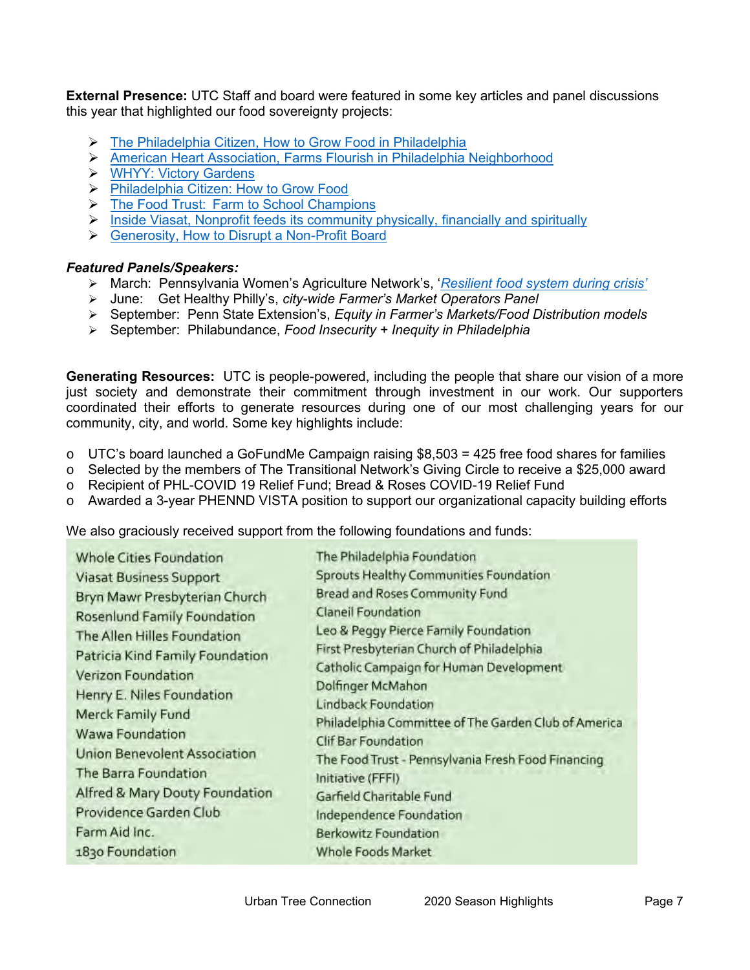**External Presence:** UTC Staff and board were featured in some key articles and panel discussions this year that highlighted our food sovereignty projects:

- ➢ [The Philadelphia Citizen, How to Grow Food in Philadelphia](https://thephiladelphiacitizen.org/how-to-grow-food-philadelphia/)
- ➢ [American Heart Association, Farms Flourish in Philadelphia Neighborhood](https://www.heart.org/en/news/2020/04/16/farms-flourish-and-nourish-in-philadelphia-neighborhood)
- ➢ [WHYY: Victory Gardens](https://whyy.org/segments/can-coronavirus-victory-gardens-quell-post-pandemic-hunger/)
- ➢ [Philadelphia Citizen: How to Grow Food](https://thephiladelphiacitizen.org/how-to-grow-food-philadelphia/)
- ➢ [The Food Trust: Farm to School Champions](http://thefoodtrust.org/what-we-do/schools/farm-to-school/farm-to-school-champions/noelle-warford%20https:/corpblog.viasat.com/urban-trees/?utm_source=facebook&utm_campaign=Corporate,Blog%20Post,GBS%20grant%20program&utm_medium=spredfast&utm_content=sf132643833&sf132643833=1)
- $\triangleright$  [Inside Viasat, Nonprofit feeds its community physically, financially and spiritually](https://corpblog.viasat.com/urban-trees/?utm_source=facebook&utm_campaign=Corporate,Blog%20Post,GBS%20grant%20program&utm_medium=spredfast&utm_content=sf132643833&sf132643833=1)
- ➢ [Generosity, How to Disrupt a Non-Profit Board](https://generocity.org/philly/2020/02/03/how-to-disrupt-a-nonprofit-board-and-how-not-to-stand-in-the-way/?fbclid=IwAR0sYwVi2Fm4z6jL0ANP6tIuFLPd5brqqiDzn2I2Zz_5dlKJ3EVItG44dyk)

## *Featured Panels/Speakers:*

- ➢ March: Pennsylvania Women's Agriculture Network's, '*[Resilient food system during crisis'](https://psu.zoom.us/rec/play/uJB5dez7pz43SdKd5gSDVqMvW9S1fPms13JL-_oLxUm3VSMGYVOlYOMUYaW2O0ZW8kdpWHW59O6pKIk?startTime=1585322832000&_x_zm_rtaid=HKeUOuweRYmMwod8REAQwQ.1585594277012.78168cdc86d95552f237b25f2bdb55c5&_x_zm_rhtaid=369)*
- ➢ June: Get Healthy Philly's, *city-wide Farmer's Market Operators Panel*
- ➢ September: Penn State Extension's, *Equity in Farmer's Markets/Food Distribution models*
- ➢ September: Philabundance, *Food Insecurity + Inequity in Philadelphia*

**Generating Resources:** UTC is people-powered, including the people that share our vision of a more just society and demonstrate their commitment through investment in our work. Our supporters coordinated their efforts to generate resources during one of our most challenging years for our community, city, and world. Some key highlights include:

- $\circ$  UTC's board launched a GoFundMe Campaign raising \$8,503 = 425 free food shares for families
- $\circ$  Selected by the members of The Transitional Network's Giving Circle to receive a \$25,000 award
- o Recipient of PHL-COVID 19 Relief Fund; Bread & Roses COVID-19 Relief Fund
- o Awarded a 3-year PHENND VISTA position to support our organizational capacity building efforts

We also graciously received support from the following foundations and funds:

| Whole Cities Foundation             | The Philadelphia Foundation                          |
|-------------------------------------|------------------------------------------------------|
| <b>Viasat Business Support</b>      | Sprouts Healthy Communities Foundation               |
| Bryn Mawr Presbyterian Church       | <b>Bread and Roses Community Fund</b>                |
| Rosenlund Family Foundation         | Claneil Foundation                                   |
| The Allen Hilles Foundation         | Leo & Peggy Pierce Family Foundation                 |
| Patricia Kind Family Foundation     | First Presbyterian Church of Philadelphia            |
| Verizon Foundation                  | Catholic Campaign for Human Development              |
| Henry E. Niles Foundation           | Dolfinger McMahon                                    |
|                                     | <b>Lindback Foundation</b>                           |
| Merck Family Fund                   | Philadelphia Committee of The Garden Club of America |
| <b>Wawa Foundation</b>              | <b>Clif Bar Foundation</b>                           |
| <b>Union Benevolent Association</b> | The Food Trust - Pennsylvania Fresh Food Financing   |
| The Barra Foundation                | Initiative (FFFI)                                    |
| Alfred & Mary Douty Foundation      | Garfield Charitable Fund                             |
| Providence Garden Club              | Independence Foundation                              |
| Farm Aid Inc.                       | Berkowitz Foundation                                 |
| 1830 Foundation                     | Whole Foods Market                                   |